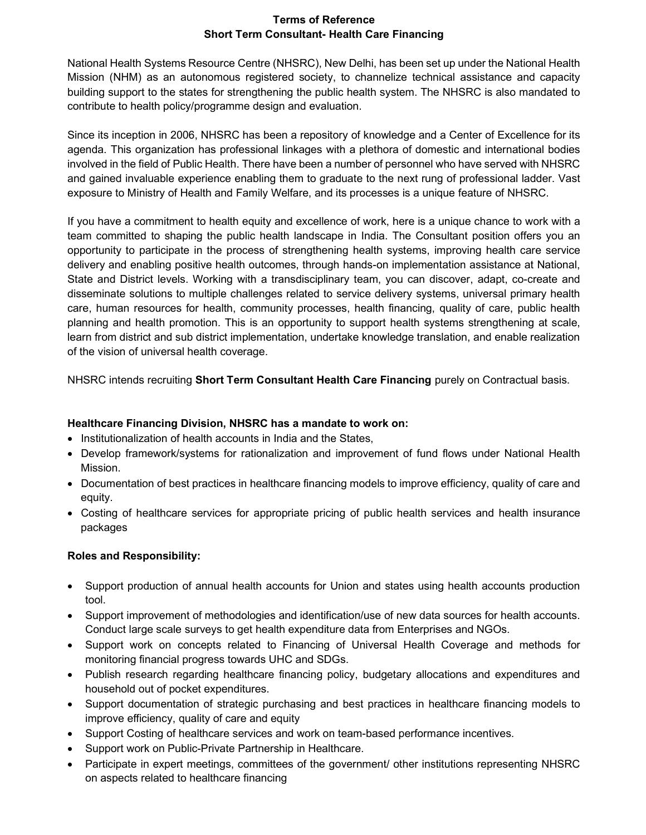## Terms of Reference Short Term Consultant- Health Care Financing

National Health Systems Resource Centre (NHSRC), New Delhi, has been set up under the National Health Mission (NHM) as an autonomous registered society, to channelize technical assistance and capacity building support to the states for strengthening the public health system. The NHSRC is also mandated to contribute to health policy/programme design and evaluation.

Since its inception in 2006, NHSRC has been a repository of knowledge and a Center of Excellence for its agenda. This organization has professional linkages with a plethora of domestic and international bodies involved in the field of Public Health. There have been a number of personnel who have served with NHSRC and gained invaluable experience enabling them to graduate to the next rung of professional ladder. Vast exposure to Ministry of Health and Family Welfare, and its processes is a unique feature of NHSRC.

If you have a commitment to health equity and excellence of work, here is a unique chance to work with a team committed to shaping the public health landscape in India. The Consultant position offers you an opportunity to participate in the process of strengthening health systems, improving health care service delivery and enabling positive health outcomes, through hands-on implementation assistance at National, State and District levels. Working with a transdisciplinary team, you can discover, adapt, co-create and disseminate solutions to multiple challenges related to service delivery systems, universal primary health care, human resources for health, community processes, health financing, quality of care, public health planning and health promotion. This is an opportunity to support health systems strengthening at scale, learn from district and sub district implementation, undertake knowledge translation, and enable realization of the vision of universal health coverage.

NHSRC intends recruiting Short Term Consultant Health Care Financing purely on Contractual basis.

# Healthcare Financing Division, NHSRC has a mandate to work on:

- Institutionalization of health accounts in India and the States,
- Develop framework/systems for rationalization and improvement of fund flows under National Health Mission.
- Documentation of best practices in healthcare financing models to improve efficiency, quality of care and equity.
- Costing of healthcare services for appropriate pricing of public health services and health insurance packages

## Roles and Responsibility:

- Support production of annual health accounts for Union and states using health accounts production tool.
- Support improvement of methodologies and identification/use of new data sources for health accounts. Conduct large scale surveys to get health expenditure data from Enterprises and NGOs.
- Support work on concepts related to Financing of Universal Health Coverage and methods for monitoring financial progress towards UHC and SDGs.
- Publish research regarding healthcare financing policy, budgetary allocations and expenditures and household out of pocket expenditures.
- Support documentation of strategic purchasing and best practices in healthcare financing models to improve efficiency, quality of care and equity
- Support Costing of healthcare services and work on team-based performance incentives.
- Support work on Public-Private Partnership in Healthcare.
- Participate in expert meetings, committees of the government/ other institutions representing NHSRC on aspects related to healthcare financing